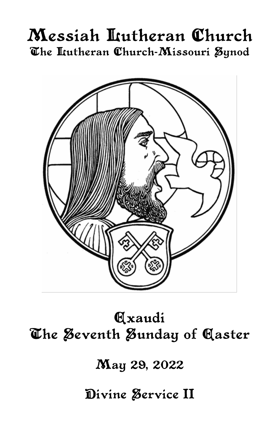# Messiah Lutheran Church The Lutheran Church-Missouri Synod



**Axaudi** The Seventh Sunday of Caster

May 29, 2022

Divine Service II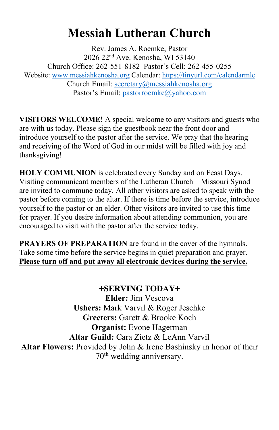## **Messiah Lutheran Church**

Rev. James A. Roemke, Pastor 2026 22nd Ave. Kenosha, WI 53140 Church Office: 262-551-8182 Pastor's Cell: 262-455-0255 Website: [www.messiahkenosha.org](http://www.messiahkenosha.org/) Calendar: <https://tinyurl.com/calendarmlc> Church Email: [secretary@messiahkenosha.org](https://d.docs.live.net/fdeed90a8019e9e6/Documents/2019%20PDF%20Bulletins/secretary@messiahkenosha.org) Pastor's Email: [pastorroemke@yahoo.com](mailto:pastorroemke@yahoo.com)

**VISITORS WELCOME!** A special welcome to any visitors and guests who are with us today. Please sign the guestbook near the front door and introduce yourself to the pastor after the service. We pray that the hearing and receiving of the Word of God in our midst will be filled with joy and thanksgiving!

**HOLY COMMUNION** is celebrated every Sunday and on Feast Days. Visiting communicant members of the Lutheran Church—Missouri Synod are invited to commune today. All other visitors are asked to speak with the pastor before coming to the altar. If there is time before the service, introduce yourself to the pastor or an elder. Other visitors are invited to use this time for prayer. If you desire information about attending communion, you are encouraged to visit with the pastor after the service today.

**PRAYERS OF PREPARATION** are found in the cover of the hymnals. Take some time before the service begins in quiet preparation and prayer. **Please turn off and put away all electronic devices during the service.**

**+SERVING TODAY+ Elder:** Jim Vescova **Ushers:** Mark Varvil & Roger Jeschke **Greeters:** Garett & Brooke Koch **Organist:** Evone Hagerman **Altar Guild:** Cara Zietz & LeAnn Varvil **Altar Flowers:** Provided by John & Irene Bashinsky in honor of their 70th wedding anniversary.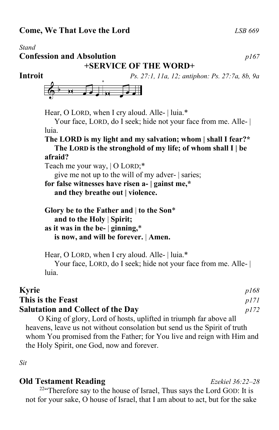*Stand* **Confession and Absolution** *p167* **+SERVICE OF THE WORD+ Introit** *Ps. 27:1, 11a, 12; antiphon: Ps. 27:7a, 8b, 9a* Hear, O LORD, when I cry aloud. Alle- | luia.\* Your face, LORD, do I seek; hide not your face from me. Alle- | luia. **The LORD is my light and my salvation; whom | shall I fear?\* The LORD is the stronghold of my life; of whom shall I | be afraid?** Teach me your way, | O LORD;\* give me not up to the will of my adver- | saries; **for false witnesses have risen a- | gainst me,\* and they breathe out | violence. Glory be to the Father and** | **to the Son**\*  **and to the Holy** | **Spirit;**

**as it was in the be-** | **ginning,**\*  **is now, and will be forever.** | **Amen.**

Hear, O LORD, when I cry aloud. Alle- | luia.\* Your face, LORD, do I seek; hide not your face from me. Alle- | luia.

### **Kyrie** *p168* **This is the Feast** *p171* **Salutation and Collect of the Day** *p172*

O King of glory, Lord of hosts, uplifted in triumph far above all heavens, leave us not without consolation but send us the Spirit of truth whom You promised from the Father; for You live and reign with Him and the Holy Spirit, one God, now and forever.

*Sit*

### **Old Testament Reading** *Ezekiel 36:22–28*

<sup>22"</sup>Therefore say to the house of Israel, Thus says the Lord GOD: It is not for your sake, O house of Israel, that I am about to act, but for the sake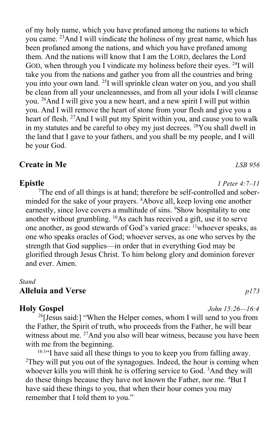of my holy name, which you have profaned among the nations to which you came. <sup>23</sup>And I will vindicate the holiness of my great name, which has been profaned among the nations, and which you have profaned among them. And the nations will know that I am the LORD, declares the Lord GOD, when through you I vindicate my holiness before their eyes. <sup>24</sup>I will take you from the nations and gather you from all the countries and bring you into your own land. <sup>25</sup>I will sprinkle clean water on you, and you shall be clean from all your uncleannesses, and from all your idols I will cleanse you. <sup>26</sup>And I will give you a new heart, and a new spirit I will put within you. And I will remove the heart of stone from your flesh and give you a heart of flesh. <sup>27</sup>And I will put my Spirit within you, and cause you to walk in my statutes and be careful to obey my just decrees. <sup>28</sup>You shall dwell in the land that I gave to your fathers, and you shall be my people, and I will be your God.

### **Create in Me** *LSB 956*

<sup>7</sup>The end of all things is at hand; therefore be self-controlled and soberminded for the sake of your prayers. <sup>8</sup>Above all, keep loving one another earnestly, since love covers a multitude of sins. <sup>9</sup>Show hospitality to one another without grumbling. <sup>10</sup>As each has received a gift, use it to serve one another, as good stewards of God's varied grace: <sup>11</sup>whoever speaks, as one who speaks oracles of God; whoever serves, as one who serves by the strength that God supplies—in order that in everything God may be glorified through Jesus Christ. To him belong glory and dominion forever and ever. Amen.

#### *Stand* **Alleluia and Verse** *p173*

#### **Holy Gospel** *John 15:26—16:4*

 $^{26}$ [Jesus said:] "When the Helper comes, whom I will send to you from the Father, the Spirit of truth, who proceeds from the Father, he will bear witness about me. <sup>27</sup>And you also will bear witness, because you have been with me from the beginning.

<sup>16:1</sup> I have said all these things to you to keep you from falling away. <sup>2</sup>They will put you out of the synagogues. Indeed, the hour is coming when whoever kills you will think he is offering service to God. <sup>3</sup>And they will do these things because they have not known the Father, nor me. <sup>4</sup>But I have said these things to you, that when their hour comes you may remember that I told them to you."

### **Epistle** *1 Peter 4:7–11*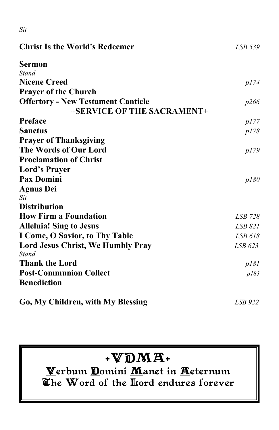| ۰.<br>$-$ | ٧<br>۰.<br>$\sim$ |
|-----------|-------------------|

| <b>Christ Is the World's Redeemer</b>     | LSB 539 |  |
|-------------------------------------------|---------|--|
| Sermon                                    |         |  |
| <b>Stand</b>                              |         |  |
| <b>Nicene Creed</b>                       | p174    |  |
| <b>Prayer of the Church</b>               |         |  |
| <b>Offertory - New Testament Canticle</b> | p266    |  |
| +SERVICE OF THE SACRAMENT+                |         |  |
| Preface                                   | p177    |  |
| <b>Sanctus</b>                            | p178    |  |
| <b>Prayer of Thanksgiving</b>             |         |  |
| The Words of Our Lord                     | p179    |  |
| <b>Proclamation of Christ</b>             |         |  |
| <b>Lord's Prayer</b>                      |         |  |
| <b>Pax Domini</b>                         | p180    |  |
| <b>Agnus Dei</b>                          |         |  |
| Sit                                       |         |  |
| <b>Distribution</b>                       |         |  |
| <b>How Firm a Foundation</b>              | LSB 728 |  |
| <b>Alleluia! Sing to Jesus</b>            | LSB 821 |  |
| I Come, O Savior, to Thy Table            | LSB 618 |  |
| <b>Lord Jesus Christ, We Humbly Pray</b>  | LSB 623 |  |
| <b>Stand</b>                              |         |  |
| <b>Thank the Lord</b>                     | p181    |  |
| <b>Post-Communion Collect</b>             | p183    |  |
| <b>Benediction</b>                        |         |  |
| Go, My Children, with My Blessing         | LSB 922 |  |

## $+VDMA+$

Verbum Domini Manet in Aeternum The Word of the Hord endures forever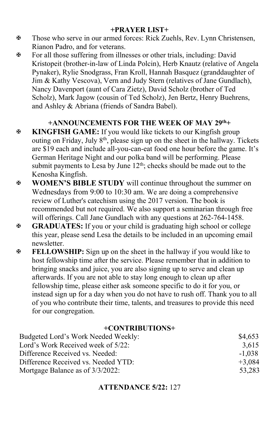#### **+PRAYER LIST+**

- Those who serve in our armed forces: Rick Zuehls, Rev. Lynn Christensen, Rianon Padro, and for veterans.
- For all those suffering from illnesses or other trials, including: David Kristopeit (brother-in-law of Linda Polcin), Herb Knautz (relative of Angela Pynaker), Rylie Snodgrass, Fran Kroll, Hannah Basquez (granddaughter of Jim & Kathy Vescova), Vern and Judy Stern (relatives of Jane Gundlach), Nancy Davenport (aunt of Cara Zietz), David Scholz (brother of Ted Scholz), Mark Jagow (cousin of Ted Scholz), Jen Bertz, Henry Buehrens, and Ashley & Abriana (friends of Sandra Babel).

### **+ANNOUNCEMENTS FOR THE WEEK OF MAY 29 th+**

- **KINGFISH GAME:** If you would like tickets to our Kingfish group outing on Friday, July  $8<sup>th</sup>$ , please sign up on the sheet in the hallway. Tickets are \$19 each and include all-you-can-eat food one hour before the game. It's German Heritage Night and our polka band will be performing. Please submit payments to Lesa by June  $12<sup>th</sup>$ ; checks should be made out to the Kenosha Kingfish.
- **WOMEN'S BIBLE STUDY** will continue throughout the summer on Wednesdays from 9:00 to 10:30 am. We are doing a comprehensive review of Luther's catechism using the 2017 version. The book is recommended but not required. We also support a seminarian through free will offerings. Call Jane Gundlach with any questions at 262-764-1458.
- **GRADUATES:** If you or your child is graduating high school or college this year, please send Lesa the details to be included in an upcoming email newsletter.
- **FELLOWSHIP:** Sign up on the sheet in the hallway if you would like to host fellowship time after the service. Please remember that in addition to bringing snacks and juice, you are also signing up to serve and clean up afterwards. If you are not able to stay long enough to clean up after fellowship time, please either ask someone specific to do it for you, or instead sign up for a day when you do not have to rush off. Thank you to all of you who contribute their time, talents, and treasures to provide this need for our congregation.

#### **+CONTRIBUTIONS+**

| Budgeted Lord's Work Needed Weekly: | \$4,653  |
|-------------------------------------|----------|
| Lord's Work Received week of 5/22:  | 3.615    |
| Difference Received vs. Needed:     | $-1.038$ |
| Difference Received vs. Needed YTD: | $+3.084$ |
| Mortgage Balance as of 3/3/2022:    | 53,283   |

### **ATTENDANCE 5/22:** 127